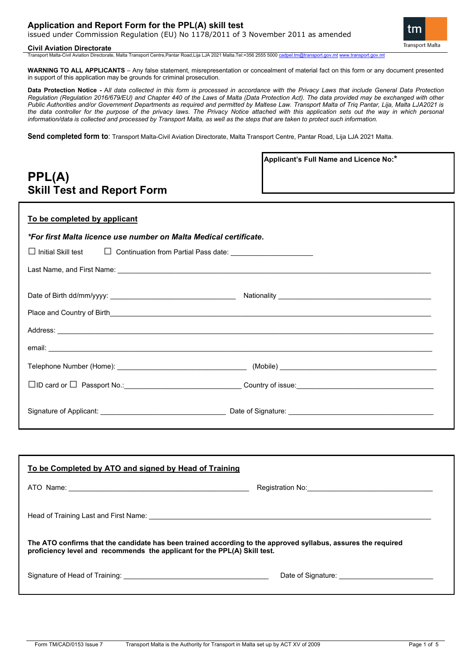### **Application and Report Form for the PPL(A) skill test**

issued under Commission Regulation (EU) No 1178/2011 of 3 November 2011 as amended



#### **Civil Aviation Directorate**

Transport Malta-Civil Aviation Directorate, Malta Transport Centre,Pantar Road,Lija LJA 2021 Malta.Tel:+356 2555 5000

**WARNING TO ALL APPLICANTS** – Any false statement, misrepresentation or concealment of material fact on this form or any document presented in support of this application may be grounds for criminal prosecution.

**Data Protection Notice -** A*ll data collected in this form is processed in accordance with the Privacy Laws that include General Data Protection Regulation (Regulation 2016/679/EU) and Chapter 440 of the Laws of Malta (Data Protection Act). The data provided may be exchanged with other Public Authorities and/or Government Departments as required and permitted by Maltese Law. Transport Malta of Triq Pantar, Lija, Malta LJA2021 is the data controller for the purpose of the privacy laws. The Privacy Notice attached with this application sets out the way in which personal information/data is collected and processed by Transport Malta, as well as the steps that are taken to protect such information.*

**Send completed form to**: Transport Malta-Civil Aviation Directorate, Malta Transport Centre, Pantar Road, Lija LJA 2021 Malta.

## **PPL(A) Skill Test and Report Form**

**Applicant's Full Name and Licence No:\***

| To be completed by applicant                                      |  |  |  |
|-------------------------------------------------------------------|--|--|--|
| *For first Malta licence use number on Malta Medical certificate. |  |  |  |
| $\Box$ Initial Skill test                                         |  |  |  |
|                                                                   |  |  |  |
|                                                                   |  |  |  |
|                                                                   |  |  |  |
|                                                                   |  |  |  |
|                                                                   |  |  |  |
|                                                                   |  |  |  |
|                                                                   |  |  |  |
|                                                                   |  |  |  |

| To be Completed by ATO and signed by Head of Training                                                                                                                                      |                  |  |  |
|--------------------------------------------------------------------------------------------------------------------------------------------------------------------------------------------|------------------|--|--|
|                                                                                                                                                                                            | Registration No: |  |  |
|                                                                                                                                                                                            |                  |  |  |
| The ATO confirms that the candidate has been trained according to the approved syllabus, assures the required<br>proficiency level and recommends the applicant for the PPL(A) Skill test. |                  |  |  |
|                                                                                                                                                                                            |                  |  |  |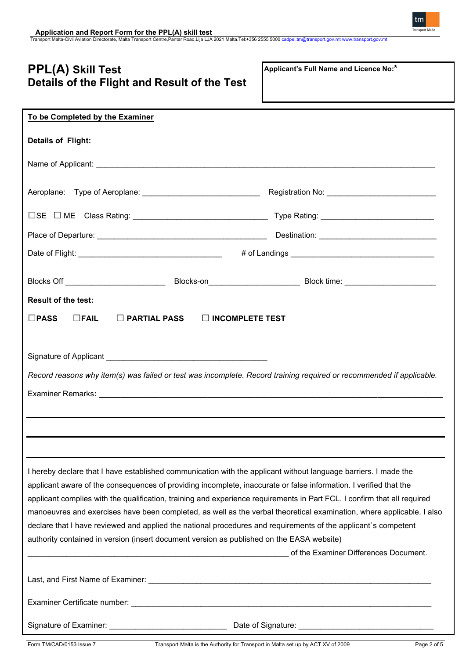\_\_**Application and Report Form for the PPL(A) Skill test**<br>Transport Malta-Civil Aviation Directorate, Malta Transport Centre,Pantar Road,Lija LJA 2021 Malta.Tel:+356 2555 5000 <u>[cadpel.tm@transport.gov.mt](mailto:cadpel.tm@transport.gov.mt)</u> <u>www.transport.</u>

## **PPL(A) Skill Test Details of the Flight and Result of the Test**

**Applicant's Full Name and Licence No:\***

| To be Completed by the Examiner                                                           |                        |                                                                                                                          |
|-------------------------------------------------------------------------------------------|------------------------|--------------------------------------------------------------------------------------------------------------------------|
| <b>Details of Flight:</b>                                                                 |                        |                                                                                                                          |
|                                                                                           |                        |                                                                                                                          |
|                                                                                           |                        |                                                                                                                          |
|                                                                                           |                        |                                                                                                                          |
|                                                                                           |                        |                                                                                                                          |
|                                                                                           |                        |                                                                                                                          |
|                                                                                           |                        |                                                                                                                          |
|                                                                                           |                        |                                                                                                                          |
| <b>Result of the test:</b>                                                                |                        |                                                                                                                          |
| $\Box$ FAIL<br>$\Box$ PARTIAL PASS<br>$\sqcup$ PASS                                       | $\Box$ INCOMPLETE TEST |                                                                                                                          |
|                                                                                           |                        |                                                                                                                          |
|                                                                                           |                        |                                                                                                                          |
|                                                                                           |                        |                                                                                                                          |
|                                                                                           |                        | Record reasons why item(s) was failed or test was incomplete. Record training required or recommended if applicable.     |
|                                                                                           |                        |                                                                                                                          |
|                                                                                           |                        |                                                                                                                          |
|                                                                                           |                        |                                                                                                                          |
|                                                                                           |                        |                                                                                                                          |
|                                                                                           |                        |                                                                                                                          |
|                                                                                           |                        | I hereby declare that I have established communication with the applicant without language barriers. I made the          |
|                                                                                           |                        | applicant aware of the consequences of providing incomplete, inaccurate or false information. I verified that the        |
|                                                                                           |                        | applicant complies with the qualification, training and experience requirements in Part FCL. I confirm that all required |
|                                                                                           |                        | manoeuvres and exercises have been completed, as well as the verbal theoretical examination, where applicable. I also    |
|                                                                                           |                        | declare that I have reviewed and applied the national procedures and requirements of the applicant's competent           |
| authority contained in version (insert document version as published on the EASA website) |                        |                                                                                                                          |
|                                                                                           |                        | of the Examiner Differences Document.                                                                                    |
|                                                                                           |                        |                                                                                                                          |
|                                                                                           |                        |                                                                                                                          |
| Signature of Examiner:                                                                    |                        | Date of Signature:                                                                                                       |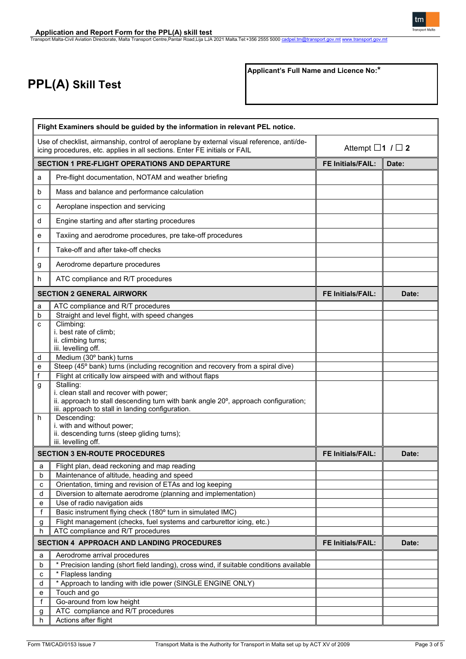\_\_**Application and Report Form for the PPL(A) Skill test**<br>Transport Malta-Civil Aviation Directorate, Malta Transport Centre,Pantar Road,Lija LJA 2021 Malta.Tel:+356 2555 5000 <u>[cadpel.tm@transport.gov.mt](mailto:cadpel.tm@transport.gov.mt)</u> <u>www.transport.</u>

# **PPL(A) Skill Test**

Ī

**Applicant's Full Name and Licence No:\***

|                                                                                                                                                                                                             | Flight Examiners should be guided by the information in relevant PEL notice.                                                 |                          |       |
|-------------------------------------------------------------------------------------------------------------------------------------------------------------------------------------------------------------|------------------------------------------------------------------------------------------------------------------------------|--------------------------|-------|
| Use of checklist, airmanship, control of aeroplane by external visual reference, anti/de-<br>Attempt $\square$ 1 / $\square$ 2<br>icing procedures, etc. applies in all sections. Enter FE initials or FAIL |                                                                                                                              |                          |       |
|                                                                                                                                                                                                             | <b>SECTION 1 PRE-FLIGHT OPERATIONS AND DEPARTURE</b>                                                                         | <b>FE Initials/FAIL:</b> | Date: |
| a                                                                                                                                                                                                           | Pre-flight documentation, NOTAM and weather briefing                                                                         |                          |       |
| b                                                                                                                                                                                                           | Mass and balance and performance calculation                                                                                 |                          |       |
| c                                                                                                                                                                                                           | Aeroplane inspection and servicing                                                                                           |                          |       |
| d                                                                                                                                                                                                           | Engine starting and after starting procedures                                                                                |                          |       |
| е                                                                                                                                                                                                           | Taxiing and aerodrome procedures, pre take-off procedures                                                                    |                          |       |
| f                                                                                                                                                                                                           | Take-off and after take-off checks                                                                                           |                          |       |
| g                                                                                                                                                                                                           | Aerodrome departure procedures                                                                                               |                          |       |
| h                                                                                                                                                                                                           | ATC compliance and R/T procedures                                                                                            |                          |       |
|                                                                                                                                                                                                             | <b>SECTION 2 GENERAL AIRWORK</b>                                                                                             | <b>FE Initials/FAIL:</b> | Date: |
| a                                                                                                                                                                                                           | ATC compliance and R/T procedures                                                                                            |                          |       |
| b                                                                                                                                                                                                           | Straight and level flight, with speed changes                                                                                |                          |       |
| c                                                                                                                                                                                                           | Climbing:<br>i. best rate of climb;                                                                                          |                          |       |
|                                                                                                                                                                                                             | ii. climbing turns;                                                                                                          |                          |       |
|                                                                                                                                                                                                             | iii. levelling off.                                                                                                          |                          |       |
| d                                                                                                                                                                                                           | Medium (30° bank) turns                                                                                                      |                          |       |
| е                                                                                                                                                                                                           | Steep (45° bank) turns (including recognition and recovery from a spiral dive)                                               |                          |       |
|                                                                                                                                                                                                             | Flight at critically low airspeed with and without flaps                                                                     |                          |       |
| g                                                                                                                                                                                                           | Stalling:                                                                                                                    |                          |       |
|                                                                                                                                                                                                             | i. clean stall and recover with power;<br>ii. approach to stall descending turn with bank angle 20°, approach configuration; |                          |       |
|                                                                                                                                                                                                             | iii. approach to stall in landing configuration.                                                                             |                          |       |
| h                                                                                                                                                                                                           | Descending:                                                                                                                  |                          |       |
|                                                                                                                                                                                                             | i. with and without power;                                                                                                   |                          |       |
|                                                                                                                                                                                                             | ii. descending turns (steep gliding turns);                                                                                  |                          |       |
|                                                                                                                                                                                                             | iii. levelling off.                                                                                                          |                          |       |
|                                                                                                                                                                                                             | <b>SECTION 3 EN-ROUTE PROCEDURES</b>                                                                                         | <b>FE Initials/FAIL:</b> | Date: |
| a                                                                                                                                                                                                           | Flight plan, dead reckoning and map reading                                                                                  |                          |       |
| b                                                                                                                                                                                                           | Maintenance of altitude, heading and speed                                                                                   |                          |       |
| с                                                                                                                                                                                                           | Orientation, timing and revision of ETAs and log keeping                                                                     |                          |       |
| d                                                                                                                                                                                                           | Diversion to alternate aerodrome (planning and implementation)                                                               |                          |       |
| е                                                                                                                                                                                                           | Use of radio navigation aids                                                                                                 |                          |       |
| f                                                                                                                                                                                                           | Basic instrument flying check (180° turn in simulated IMC)                                                                   |                          |       |
| g                                                                                                                                                                                                           | Flight management (checks, fuel systems and carburettor icing, etc.)                                                         |                          |       |
| h                                                                                                                                                                                                           | ATC compliance and R/T procedures<br><b>SECTION 4 APPROACH AND LANDING PROCEDURES</b>                                        | <b>FE Initials/FAIL:</b> | Date: |
|                                                                                                                                                                                                             | Aerodrome arrival procedures                                                                                                 |                          |       |
| a<br>b                                                                                                                                                                                                      | * Precision landing (short field landing), cross wind, if suitable conditions available                                      |                          |       |
| с                                                                                                                                                                                                           | * Flapless landing                                                                                                           |                          |       |
| d                                                                                                                                                                                                           | * Approach to landing with idle power (SINGLE ENGINE ONLY)                                                                   |                          |       |
| е                                                                                                                                                                                                           | Touch and go                                                                                                                 |                          |       |
| f                                                                                                                                                                                                           | Go-around from low height                                                                                                    |                          |       |
| g                                                                                                                                                                                                           | ATC compliance and R/T procedures                                                                                            |                          |       |
| h.                                                                                                                                                                                                          | Actions after flight                                                                                                         |                          |       |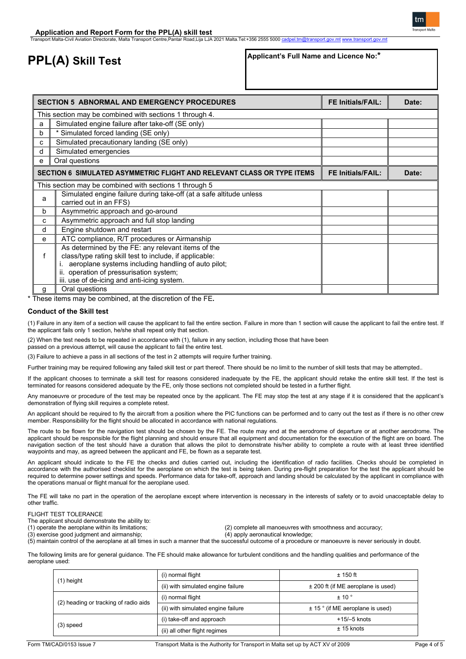Road, Lija LJA 2021 Malta.Tel:+356 2555 5000

## **PPL(A) Skill Test**

**Applicant's Full Name and Licence No:\***

|   | <b>SECTION 5 ABNORMAL AND EMERGENCY PROCEDURES</b>                                                                                                                                                                                                             | <b>FE Initials/FAIL:</b> | Date: |
|---|----------------------------------------------------------------------------------------------------------------------------------------------------------------------------------------------------------------------------------------------------------------|--------------------------|-------|
|   | This section may be combined with sections 1 through 4.                                                                                                                                                                                                        |                          |       |
| а | Simulated engine failure after take-off (SE only)                                                                                                                                                                                                              |                          |       |
| b | * Simulated forced landing (SE only)                                                                                                                                                                                                                           |                          |       |
| C | Simulated precautionary landing (SE only)                                                                                                                                                                                                                      |                          |       |
| d | Simulated emergencies                                                                                                                                                                                                                                          |                          |       |
| е | Oral questions                                                                                                                                                                                                                                                 |                          |       |
|   | SECTION 6 SIMULATED ASYMMETRIC FLIGHT AND RELEVANT CLASS OR TYPE ITEMS                                                                                                                                                                                         | <b>FE Initials/FAIL:</b> | Date: |
|   | This section may be combined with sections 1 through 5                                                                                                                                                                                                         |                          |       |
| a | Simulated engine failure during take-off (at a safe altitude unless<br>carried out in an FFS)                                                                                                                                                                  |                          |       |
| b | Asymmetric approach and go-around                                                                                                                                                                                                                              |                          |       |
| C | Asymmetric approach and full stop landing                                                                                                                                                                                                                      |                          |       |
| d | Engine shutdown and restart                                                                                                                                                                                                                                    |                          |       |
| e | ATC compliance, R/T procedures or Airmanship                                                                                                                                                                                                                   |                          |       |
| f | As determined by the FE: any relevant items of the<br>class/type rating skill test to include, if applicable:<br>aeroplane systems including handling of auto pilot;<br>ii. operation of pressurisation system;<br>iii. use of de-icing and anti-icing system. |                          |       |
| g | Oral questions                                                                                                                                                                                                                                                 |                          |       |

\* These items may be combined, at the discretion of the FE**.**

#### **Conduct of the Skill test**

(1) Failure in any item of a section will cause the applicant to fail the entire section. Failure in more than 1 section will cause the applicant to fail the entire test. If the applicant fails only 1 section, he/she shall repeat only that section.

(2) When the test needs to be repeated in accordance with (1), failure in any section, including those that have been

passed on a previous attempt, will cause the applicant to fail the entire test.

(3) Failure to achieve a pass in all sections of the test in 2 attempts will require further training.

Further training may be required following any failed skill test or part thereof. There should be no limit to the number of skill tests that may be attempted..

If the applicant chooses to terminate a skill test for reasons considered inadequate by the FE, the applicant should retake the entire skill test. If the test is terminated for reasons considered adequate by the FE, only those sections not completed should be tested in a further flight.

Any manoeuvre or procedure of the test may be repeated once by the applicant. The FE may stop the test at any stage if it is considered that the applicant's demonstration of flying skill requires a complete retest.

An applicant should be required to fly the aircraft from a position where the PIC functions can be performed and to carry out the test as if there is no other crew member. Responsibility for the flight should be allocated in accordance with national regulations.

The route to be flown for the navigation test should be chosen by the FE. The route may end at the aerodrome of departure or at another aerodrome. The applicant should be responsible for the flight planning and should ensure that all equipment and documentation for the execution of the flight are on board. The navigation section of the test should have a duration that allows the pilot to demonstrate his/her ability to complete a route with at least three identified waypoints and may, as agreed between the applicant and FE, be flown as a separate test.

An applicant should indicate to the FE the checks and duties carried out, including the identification of radio facilities. Checks should be completed in accordance with the authorised checklist for the aeroplane on which the test is being taken. During pre-flight preparation for the test the applicant should be required to determine power settings and speeds. Performance data for take-off, approach and landing should be calculated by the applicant in compliance with the operations manual or flight manual for the aeroplane used.

The FE will take no part in the operation of the aeroplane except where intervention is necessary in the interests of safety or to avoid unacceptable delay to other traffic.

FLIGHT TEST TOLERANCE

The applicant should demonstrate the ability to:<br>(1) operate the aeroplane within its limitations:

 $(3)$  exercise good judgment and airmanship;

(2) complete all manoeuvres with smoothness and accuracy; (4) apply aeronautical knowledge;

(5) maintain control of the aeroplane at all times in such a manner that the successful outcome of a procedure or manoeuvre is never seriously in doubt.

The following limits are for general guidance. The FE should make allowance for turbulent conditions and the handling qualities and performance of the aeroplane used:

|                                       | (i) normal flight                  | $± 150$ ft                           |
|---------------------------------------|------------------------------------|--------------------------------------|
| $(1)$ height                          | (ii) with simulated engine failure | ± 200 ft (if ME aeroplane is used)   |
| (2) heading or tracking of radio aids | (i) normal flight                  | ± 10°                                |
|                                       | (ii) with simulated engine failure | $\pm$ 15 ° (if ME aeroplane is used) |
|                                       | (i) take-off and approach          | $+15/-5$ knots                       |
| $(3)$ speed                           | (ii) all other flight regimes      | $± 15$ knots                         |